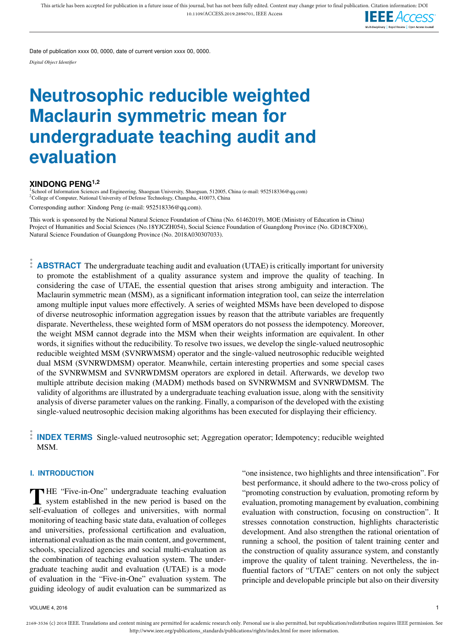

Date of publication xxxx 00, 0000, date of current version xxxx 00, 0000.

*Digital Object Identifier*

# **Neutrosophic reducible weighted Maclaurin symmetric mean for undergraduate teaching audit and evaluation**

## **XINDONG PENG1,2**

<sup>1</sup> School of Information Sciences and Engineering, Shaoguan University, Shaoguan, 512005, China (e-mail: 952518336@qq.com) <sup>2</sup>College of Computer, National University of Defense Technology, Changsha, 410073, China

Corresponding author: Xindong Peng (e-mail: 952518336@qq.com).

This work is sponsored by the National Natural Science Foundation of China (No. 61462019), MOE (Ministry of Education in China) Project of Humanities and Social Sciences (No.18YJCZH054), Social Science Foundation of Guangdong Province (No. GD18CFX06), Natural Science Foundation of Guangdong Province (No. 2018A030307033).

**ABSTRACT** The undergraduate teaching audit and evaluation (UTAE) is critically important for university to promote the establishment of a quality assurance system and improve the quality of teaching. In considering the case of UTAE, the essential question that arises strong ambiguity and interaction. The Maclaurin symmetric mean (MSM), as a significant information integration tool, can seize the interrelation among multiple input values more effectively. A series of weighted MSMs have been developed to dispose of diverse neutrosophic information aggregation issues by reason that the attribute variables are frequently disparate. Nevertheless, these weighted form of MSM operators do not possess the idempotency. Moreover, the weight MSM cannot degrade into the MSM when their weights information are equivalent. In other words, it signifies without the reducibility. To resolve two issues, we develop the single-valued neutrosophic reducible weighted MSM (SVNRWMSM) operator and the single-valued neutrosophic reducible weighted dual MSM (SVNRWDMSM) operator. Meanwhile, certain interesting properties and some special cases of the SVNRWMSM and SVNRWDMSM operators are explored in detail. Afterwards, we develop two multiple attribute decision making (MADM) methods based on SVNRWMSM and SVNRWDMSM. The validity of algorithms are illustrated by a undergraduate teaching evaluation issue, along with the sensitivity analysis of diverse parameter values on the ranking. Finally, a comparison of the developed with the existing single-valued neutrosophic decision making algorithms has been executed for displaying their efficiency.

**INDEX TERMS** Single-valued neutrosophic set; Aggregation operator; Idempotency; reducible weighted MSM.

## **I. INTRODUCTION**

THE "Five-in-One" undergraduate teaching evaluation system established in the new period is based on the self-evaluation of colleges and universities, with normal HE "Five-in-One" undergraduate teaching evaluation system established in the new period is based on the monitoring of teaching basic state data, evaluation of colleges and universities, professional certification and evaluation, international evaluation as the main content, and government, schools, specialized agencies and social multi-evaluation as the combination of teaching evaluation system. The undergraduate teaching audit and evaluation (UTAE) is a mode of evaluation in the "Five-in-One" evaluation system. The guiding ideology of audit evaluation can be summarized as

"one insistence, two highlights and three intensification". For best performance, it should adhere to the two-cross policy of "promoting construction by evaluation, promoting reform by evaluation, promoting management by evaluation, combining evaluation with construction, focusing on construction". It stresses connotation construction, highlights characteristic development. And also strengthen the rational orientation of running a school, the position of talent training center and the construction of quality assurance system, and constantly improve the quality of talent training. Nevertheless, the influential factors of "UTAE" centers on not only the subject principle and developable principle but also on their diversity

VOLUME 4, 2016 1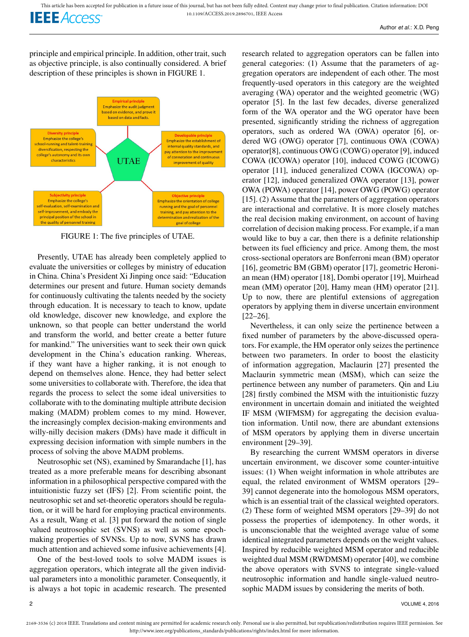principle and empirical principle. In addition, other trait, such as objective principle, is also continually considered. A brief description of these principles is shown in FIGURE 1.



FIGURE 1: The five principles of UTAE.

Presently, UTAE has already been completely applied to evaluate the universities or colleges by ministry of education in China. China's President Xi Jinping once said: "Education determines our present and future. Human society demands for continuously cultivating the talents needed by the society through education. It is necessary to teach to know, update old knowledge, discover new knowledge, and explore the unknown, so that people can better understand the world and transform the world, and better create a better future for mankind." The universities want to seek their own quick development in the China's education ranking. Whereas, if they want have a higher ranking, it is not enough to depend on themselves alone. Hence, they had better select some universities to collaborate with. Therefore, the idea that regards the process to select the some ideal universities to collaborate with to the dominating multiple attribute decision making (MADM) problem comes to my mind. However, the increasingly complex decision-making environments and willy-nilly decision makers (DMs) have made it difficult in expressing decision information with simple numbers in the process of solving the above MADM problems.

Neutrosophic set (NS), examined by Smarandache [1], has treated as a more preferable means for describing absonant information in a philosophical perspective compared with the intuitionistic fuzzy set (IFS) [2]. From scientific point, the neutrosophic set and set-theoretic operators should be regulation, or it will be hard for employing practical environments. As a result, Wang et al. [3] put forward the notion of single valued neutrosophic set (SVNS) as well as some epochmaking properties of SVNSs. Up to now, SVNS has drawn much attention and achieved some infusive achievements [4].

One of the best-loved tools to solve MADM issues is aggregation operators, which integrate all the given individual parameters into a monolithic parameter. Consequently, it is always a hot topic in academic research. The presented research related to aggregation operators can be fallen into general categories: (1) Assume that the parameters of aggregation operators are independent of each other. The most frequently-used operators in this category are the weighted averaging (WA) operator and the weighted geometric (WG) operator [5]. In the last few decades, diverse generalized form of the WA operator and the WG operator have been presented, significantly striding the richness of aggregation operators, such as ordered WA (OWA) operator [6], ordered WG (OWG) operator [7], continuous OWA (COWA) operator[8], continuous OWG (COWG) operator [9], induced COWA (ICOWA) operator [10], induced COWG (ICOWG) operator [11], induced generalized COWA (IGCOWA) operator [12], induced generalized OWA operator [13], power OWA (POWA) operator [14], power OWG (POWG) operator [15]. (2) Assume that the parameters of aggregation operators are interactional and correlative. It is more closely matches the real decision making environment, on account of having correlation of decision making process. For example, if a man would like to buy a car, then there is a definite relationship between its fuel efficiency and price. Among them, the most cross-sectional operators are Bonferroni mean (BM) operator [16], geometric BM (GBM) operator [17], geometric Heronian mean (HM) operator [18], Dombi operator [19], Muirhead mean (MM) operator [20], Hamy mean (HM) operator [21]. Up to now, there are plentiful extensions of aggregation operators by applying them in diverse uncertain environment [22–26].

Nevertheless, it can only seize the pertinence between a fixed number of parameters by the above-discussed operators. For example, the HM operator only seizes the pertinence between two parameters. In order to boost the elasticity of information aggregation, Maclaurin [27] presented the Maclaurin symmetric mean (MSM), which can seize the pertinence between any number of parameters. Qin and Liu [28] firstly combined the MSM with the intuitionistic fuzzy environment in uncertain domain and initiated the weighted IF MSM (WIFMSM) for aggregating the decision evaluation information. Until now, there are abundant extensions of MSM operators by applying them in diverse uncertain environment [29–39].

By researching the current WMSM operators in diverse uncertain environment, we discover some counter-intuitive issues: (1) When weight information in whole attributes are equal, the related environment of WMSM operators [29– 39] cannot degenerate into the homologous MSM operators, which is an essential trait of the classical weighted operators. (2) These form of weighted MSM operators [29–39] do not possess the properties of idempotency. In other words, it is unconscionable that the weighted average value of some identical integrated parameters depends on the weight values. Inspired by reducible weighted MSM operator and reducible weighted dual MSM (RWDMSM) operator [40], we combine the above operators with SVNS to integrate single-valued neutrosophic information and handle single-valued neutrosophic MADM issues by considering the merits of both.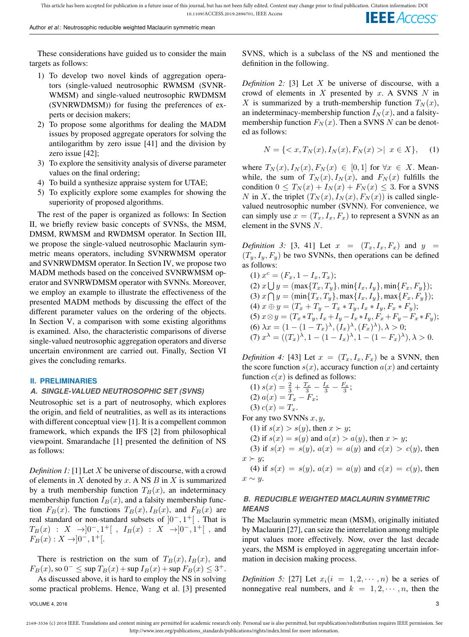These considerations have guided us to consider the main targets as follows:

- 1) To develop two novel kinds of aggregation operators (single-valued neutrosophic RWMSM (SVNR-WMSM) and single-valued neutrosophic RWDMSM (SVNRWDMSM)) for fusing the preferences of experts or decision makers;
- 2) To propose some algorithms for dealing the MADM issues by proposed aggregate operators for solving the antilogarithm by zero issue [41] and the division by zero issue [42];
- 3) To explore the sensitivity analysis of diverse parameter values on the final ordering;
- 4) To build a synthesize appraise system for UTAE;
- 5) To explicitly explore some examples for showing the superiority of proposed algorithms.

The rest of the paper is organized as follows: In Section II, we briefly review basic concepts of SVNSs, the MSM, DMSM, RWMSM and RWDMSM operator. In Section III, we propose the single-valued neutrosophic Maclaurin symmetric means operators, including SVNRWMSM operator and SVNRWDMSM operator. In Section IV, we propose two MADM methods based on the conceived SVNRWMSM operator and SVNRWDMSM operator with SVNNs. Moreover, we employ an example to illustrate the effectiveness of the presented MADM methods by discussing the effect of the different parameter values on the ordering of the objects. In Section V, a comparison with some existing algorithms is examined. Also, the characteristic comparisons of diverse single-valued neutrosophic aggregation operators and diverse uncertain environment are carried out. Finally, Section VI gives the concluding remarks.

#### **II. PRELIMINARIES**

#### *A. SINGLE-VALUED NEUTROSOPHIC SET (SVNS)*

Neutrosophic set is a part of neutrosophy, which explores the origin, and field of neutralities, as well as its interactions with different conceptual view [1]. It is a compellent common framework, which expands the IFS [2] from philosophical viewpoint. Smarandache [1] presented the definition of NS as follows:

*Definition 1:* [1] Let X be universe of discourse, with a crowd of elements in  $X$  denoted by  $x$ . A NS  $B$  in  $X$  is summarized by a truth membership function  $T_B(x)$ , an indeterminacy membership function  $I_B(x)$ , and a falsity membership function  $F_B(x)$ . The functions  $T_B(x)$ ,  $I_B(x)$ , and  $F_B(x)$  are real standard or non-standard subsets of  $]0^-, 1^+[$ . That is  $T_B(x) : X \to ]0^-, 1^+] , I_B(x) : X \to ]0^-, 1^+] ,$  and  $F_B(x): X \to ]0^-, 1^+[.$ 

There is restriction on the sum of  $T_B(x)$ ,  $I_B(x)$ , and  $F_B(x)$ , so  $0^- \leq \sup T_B(x) + \sup I_B(x) + \sup F_B(x) \leq 3^+$ .

As discussed above, it is hard to employ the NS in solving some practical problems. Hence, Wang et al. [3] presented SVNS, which is a subclass of the NS and mentioned the definition in the following.

*Definition 2:* [3] Let X be universe of discourse, with a crowd of elements in  $X$  presented by  $x$ . A SVNS  $N$  in X is summarized by a truth-membership function  $T_N(x)$ , an indeterminacy-membership function  $I_N(x)$ , and a falsitymembership function  $F_N(x)$ . Then a SVNS N can be denoted as follows:

$$
N = \{ \langle x, T_N(x), I_N(x), F_N(x) \rangle \mid x \in X \}, \quad (1)
$$

where  $T_N(x)$ ,  $I_N(x)$ ,  $F_N(x) \in [0,1]$  for  $\forall x \in X$ . Meanwhile, the sum of  $T_N(x)$ ,  $I_N(x)$ , and  $F_N(x)$  fulfills the condition  $0 \leq T_N(x) + I_N(x) + F_N(x) \leq 3$ . For a SVNS N in X, the triplet  $(T_N(x), I_N(x), F_N(x))$  is called singlevalued neutrosophic number (SVNN). For convenience, we can simply use  $x = (T_x, I_x, F_x)$  to represent a SVNN as an element in the SVNS N.

*Definition 3:* [3, 41] Let  $x = (T_x, I_x, F_x)$  and  $y =$  $(T_y, I_y, F_y)$  be two SVNNs, then operations can be defined as follows:

(1)  $x^c = (F_x, 1 - I_x, T_x);$ (2)  $x \bigcup y = (\max\{T_x, T_y\}, \min\{I_x, I_y\}, \min\{F_x, F_y\});$ (3)  $x \bigcap y = (\min\{T_x, T_y\}, \max\{I_x, I_y\}, \max\{F_x, F_y\});$ (4)  $x \oplus y = (T_x + T_y - T_x * T_y, I_x * I_y, F_x * F_y);$ (5)  $x \otimes y = (T_x * T_y, I_x + I_y - I_x * I_y, F_x + F_y - F_x * F_y);$ (6)  $\lambda x = (1 - (1 - T_x)^{\lambda}, (I_x)^{\lambda}, (F_x)^{\lambda}), \lambda > 0;$ (7)  $x^{\lambda} = ((T_x)^{\lambda}, 1 - (1 - I_x)^{\lambda}, 1 - (1 - F_x)^{\lambda}), \lambda > 0.$ 

*Definition 4:* [43] Let  $x = (T_x, I_x, F_x)$  be a SVNN, then the score function  $s(x)$ , accuracy function  $a(x)$  and certainty function  $c(x)$  is defined as follows:

(1) 
$$
s(x) = \frac{2}{3} + \frac{T_x}{3} - \frac{I_x}{3} - \frac{F_x}{3}
$$
;  
(2)  $a(x) = T_x - F_x$ ;  
(3)  $c(x) = T_x$ .

For any two SVNNs  $x, y$ ,

- (1) if  $s(x) > s(y)$ , then  $x \succ y$ ;
- (2) if  $s(x) = s(y)$  and  $a(x) > a(y)$ , then  $x \succ y$ ;
- (3) if  $s(x) = s(y)$ ,  $a(x) = a(y)$  and  $c(x) > c(y)$ , then  $x \succ w$

(4) if 
$$
s(x) = s(y)
$$
,  $a(x) = a(y)$  and  $c(x) = c(y)$ , then  $x \sim y$ .

## *B. REDUCIBLE WEIGHTED MACLAURIN SYMMETRIC MEANS*

The Maclaurin symmetric mean (MSM), originally initiated by Maclaurin [27], can seize the interrelation among multiple input values more effectively. Now, over the last decade years, the MSM is employed in aggregating uncertain information in decision making process.

*Definition 5:* [27] Let  $x_i(i = 1, 2, \dots, n)$  be a series of nonnegative real numbers, and  $k = 1, 2, \dots, n$ , then the

<sup>2169-3536 (</sup>c) 2018 IEEE. Translations and content mining are permitted for academic research only. Personal use is also permitted, but republication/redistribution requires IEEE permission. See http://www.ieee.org/publications\_standards/publications/rights/index.html for more information.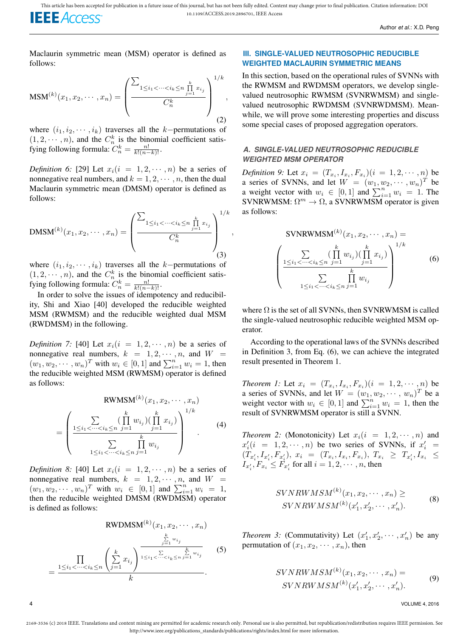Maclaurin symmetric mean (MSM) operator is defined as follows:

$$
\text{MSM}^{(k)}(x_1, x_2, \cdots, x_n) = \left( \frac{\sum_{1 \leq i_1 < \cdots < i_k \leq n} \prod_{j=1}^k x_{i_j}}{C_n^k} \right)^{1/k}, \tag{2}
$$

where  $(i_1, i_2, \dots, i_k)$  traverses all the k–permutations of  $(1, 2, \dots, n)$ , and the  $C_n^k$  is the binomial coefficient satisfying following formula:  $C_n^k = \frac{n!}{k!(n-k)!}$ .

*Definition 6:* [29] Let  $x_i(i = 1, 2, \dots, n)$  be a series of nonnegative real numbers, and  $k = 1, 2, \dots, n$ , then the dual Maclaurin symmetric mean (DMSM) operator is defined as follows:

$$
DMSM^{(k)}(x_1, x_2, \cdots, x_n) = \left(\frac{\sum_{1 \le i_1 < \cdots < i_k \le n} \prod_{j=1}^k x_{i_j}}{C_n^k}\right)_{(3)}^{1/k},
$$

where  $(i_1, i_2, \dots, i_k)$  traverses all the k-permutations of  $(1, 2, \dots, n)$ , and the  $C_n^k$  is the binomial coefficient satisfying following formula:  $C_n^k = \frac{n!}{k!(n-k)!}$ .

In order to solve the issues of idempotency and reducibility, Shi and Xiao [40] developed the reducible weighted MSM (RWMSM) and the reducible weighted dual MSM (RWDMSM) in the following.

*Definition 7:* [40] Let  $x_i(i = 1, 2, \dots, n)$  be a series of nonnegative real numbers,  $k = 1, 2, \dots, n$ , and  $W =$  $(w_1, w_2, \dots, w_n)^T$  with  $w_i \in [0, 1]$  and  $\sum_{i=1}^n w_i = 1$ , then the reducible weighted MSM (RWMSM) operator is defined as follows:

$$
\text{RWMSM}^{(k)}(x_1, x_2, \cdots, x_n)
$$
\n
$$
= \left( \frac{\sum\limits_{1 \le i_1 < \cdots < i_k \le n} \left( \prod\limits_{j=1}^k w_{i_j} \right) \left( \prod\limits_{j=1}^k x_{i_j} \right)}{\sum\limits_{1 \le i_1 < \cdots < i_k \le n} \prod\limits_{j=1}^k w_{i_j}} \right)^{1/k} . \tag{4}
$$

*Definition 8:* [40] Let  $x_i(i = 1, 2, \dots, n)$  be a series of nonnegative real numbers,  $k = 1, 2, \dots, n$ , and  $W =$  $(w_1, w_2, \dots, w_n)^T$  with  $w_i \in [0, 1]$  and  $\sum_{i=1}^n w_i = 1$ , then the reducible weighted DMSM (RWDMSM) operator is defined as follows:

$$
\text{RWDMSM}^{(k)}(x_1, x_2, \cdots, x_n)
$$
\n
$$
\frac{\sum\limits_{j=1}^{k} w_{ij}}{\prod\limits_{j=1}^{k} \sum\limits_{j=1}^{k} x_{ij}} \frac{\sum\limits_{j=1}^{k} w_{ij}}{k} \tag{5}
$$
\n
$$
= \frac{1 \leq i_1 < \cdots < i_k \leq n}{k}.
$$

## **III. SINGLE-VALUED NEUTROSOPHIC REDUCIBLE WEIGHTED MACLAURIN SYMMETRIC MEANS**

In this section, based on the operational rules of SVNNs with the RWMSM and RWDMSM operators, we develop singlevalued neutrosophic RWMSM (SVNRWMSM) and singlevalued neutrosophic RWDMSM (SVNRWDMSM). Meanwhile, we will prove some interesting properties and discuss some special cases of proposed aggregation operators.

## *A. SINGLE-VALUED NEUTROSOPHIC REDUCIBLE WEIGHTED MSM OPERATOR*

*Definition 9:* Let  $x_i = (T_{x_i}, I_{x_i}, F_{x_i}) (i = 1, 2, \dots, n)$  be a series of SVNNs, and let  $W = (w_1, w_2, \dots, w_n)^T$  be a weight vector with  $w_i \in [0,1]$  and  $\sum_{i=1}^n w_i = 1$ . The SVNRWMSM:  $\Omega^m \to \Omega$ , a SVNRWMSM operator is given as follows:

$$
\text{SVRWMSM}^{(k)}(x_1, x_2, \cdots, x_n) =
$$
\n
$$
\left( \frac{\sum\limits_{1 \le i_1 < \cdots < i_k \le n} \left( \prod\limits_{j=1}^k w_{i_j} \right) \left( \prod\limits_{j=1}^k x_{i_j} \right)}{\sum\limits_{1 \le i_1 < \cdots < i_k \le n} \prod\limits_{j=1}^k w_{i_j}} \right)^{1/k} \tag{6}
$$

where  $\Omega$  is the set of all SVNNs, then SVNRWMSM is called the single-valued neutrosophic reducible weighted MSM operator.

According to the operational laws of the SVNNs described in Definition 3, from Eq. (6), we can achieve the integrated result presented in Theorem 1.

*Theorem 1:* Let  $x_i = (T_{x_i}, I_{x_i}, F_{x_i})$  ( $i = 1, 2, \dots, n$ ) be a series of SVNNs, and let  $W = (w_1, w_2, \dots, w_n)^T$  be a weight vector with  $w_i \in [0, 1]$  and  $\sum_{i=1}^{n} w_i = 1$ , then the result of SVNRWMSM operator is still a SVNN.

*Theorem 2:* (Monotonicity) Let  $x_i(i = 1, 2, \dots, n)$  and  $x_i'(i = 1, 2, \dots, n)$  be two series of SVNNs, if  $x_i' =$  $(T_{x'_i}, I_{x'_i}, F_{x'_i}), x_i = (T_{x_i}, I_{x_i}, F_{x_i}), T_{x_i} \geq T_{x'_i}, I_{x_i} \leq$  $I_{x_i}, F_{x_i} \leq F_{x_i}$  for all  $i = 1, 2, \dots, n$ , then

$$
SVRWMSM^{(k)}(x_1, x_2, \cdots, x_n) \geq SVNRWMSM^{(k)}(x'_1, x'_2, \cdots, x'_n).
$$
 (8)

*Theorem 3:* (Commutativity) Let  $(x'_1, x'_2, \dots, x'_n)$  be any permutation of  $(x_1, x_2, \dots, x_n)$ , then

$$
SVRWMSM^{(k)}(x_1, x_2, \cdots, x_n) =
$$
  
 
$$
SVRWMSM^{(k)}(x'_1, x'_2, \cdots, x'_n).
$$
 (9)

4 VOLUME 4, 2016

<sup>2169-3536 (</sup>c) 2018 IEEE. Translations and content mining are permitted for academic research only. Personal use is also permitted, but republication/redistribution requires IEEE permission. See http://www.ieee.org/publications\_standards/publications/rights/index.html for more information.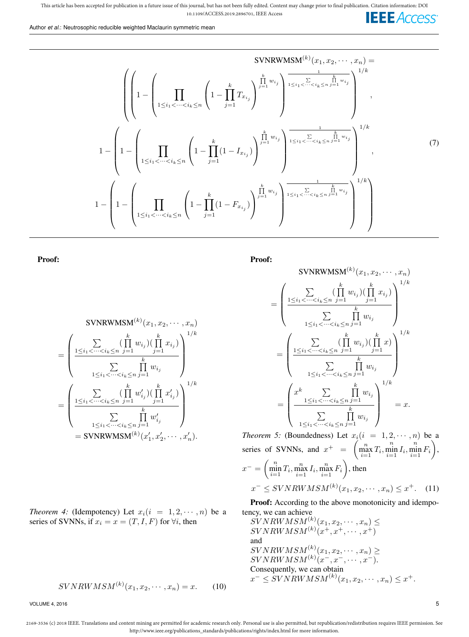This article has been accepted for publication in a future issue of this journal, but has not been fully edited. Content may change prior to final publication. Citation information: DOI 10.1109/ACCESS.2019.2896701, IEEE Access



Author *et al.*: Neutrosophic reducible weighted Maclaurin symmetric mean

$$
\text{SVRWMSM}^{(k)}(x_1, x_2, \dots, x_n) =
$$
\n
$$
\left( \left( 1 - \left( \prod_{1 \le i_1 < \dots < i_k \le n} \left( 1 - \prod_{j=1}^k T_{x_{i_j}} \right)^{\frac{k}{j}} \right)^{\frac{1}{j-1} w_{i_j}} \right)^{\frac{1}{1 \le i_1 < \dots < i_k \le n \frac{\left| \prod_{j=1}^k w_{i_j} \right|}{\left| \sum_{j=1}^k w_{j} \right|} \right)^{1/k}},
$$
\n
$$
1 - \left( 1 - \left( \prod_{1 \le i_1 < \dots < i_k \le n} \left( 1 - \prod_{j=1}^k (1 - I_{x_{i_j}}) \right)^{\frac{k}{j-1} w_{i_j}} \right)^{\frac{1}{1 \le i_1 < \dots < i_k \le n \frac{\left| \prod_{j=1}^k w_{i_j} \right|}{\left| \sum_{j=1}^k w_{j} \right|} \right)^{1/k}},
$$
\n
$$
1 - \left( 1 - \left( \prod_{1 \le i_1 < \dots < i_k \le n} \left( 1 - \prod_{j=1}^k (1 - F_{x_{i_j}}) \right)^{\frac{k}{j-1} w_{i_j}} \right)^{\frac{1}{1 \le i_1 < \dots < i_k \le n \frac{\left| \prod_{j=1}^k w_{i_j} \right|}{\left| \sum_{j=1}^k w_{j} \right|} \right)^{1/k}} \right)
$$
\n(7)

Proof:

$$
\begin{split} & \text{SVRWMSM}^{(k)}(x_1, x_2, \cdots, x_n) \\ & = \left( \frac{\sum\limits_{1 \leq i_1 < \cdots < i_k \leq n} \prod\limits_{j=1}^k w_{i_j} ) \left( \prod\limits_{j=1}^k x_{i_j} \right)}{\sum\limits_{1 \leq i_1 < \cdots < i_k \leq n} \prod\limits_{j=1}^k w_{i_j}} \right)^{1/k} \\ & = \left( \frac{\sum\limits_{1 \leq i_1 < \cdots < i_k \leq n} \left( \prod\limits_{j=1}^k w'_{i_j} \right) \left( \prod\limits_{j=1}^k x'_{i_j} \right)}{\sum\limits_{1 \leq i_1 < \cdots < i_k \leq n} \prod\limits_{j=1}^k w'_{i_j}} \right)^{1/k} \\ & = \text{SVRRWMSM}^{(k)}(x'_1, x'_2, \cdots, x'_n). \end{split}
$$

*Theorem 4:* (Idempotency) Let  $x_i(i = 1, 2, \dots, n)$  be a series of SVNNs, if  $x_i = x = (T, I, F)$  for  $\forall i$ , then

$$
SVNRWMSM^{(k)}(x_1, x_2, \cdots, x_n) = x.
$$
 (10)

VOLUME 4, 2016 5

Proof:

$$
\begin{split}\n&= \left( \frac{\sum\limits_{1 \leq i_1 < \dots < i_k \leq n} \prod\limits_{j=1}^{k} w_{i_j} \big) \big( \prod\limits_{j=1}^{k} x_{i_j} \big)}{\sum\limits_{1 \leq i_1 < \dots < i_k \leq n} \prod\limits_{j=1}^{k} w_{i_j}} \right)^{1/k} \\
&= \left( \frac{\sum\limits_{1 \leq i_1 < \dots < i_k \leq n} \prod\limits_{j=1}^{k} w_{i_j}}{\sum\limits_{1 \leq i_1 < \dots < i_k \leq n} \prod\limits_{j=1}^{k} w_{i_j}} \right)^{1/k} \\
&= \left( \frac{x^k}{\sum\limits_{1 \leq i_1 < \dots < i_k \leq n} \prod\limits_{j=1}^{k} w_{i_j}} \right)^{1/k} \\
&= \left( \frac{x^k}{\sum\limits_{1 \leq i_1 < \dots < i_k \leq n} \prod\limits_{j=1}^{k} w_{i_j}} \right)^{1/k} = x. \\
& \sum\limits_{1 \leq i_1 < \dots < i_k \leq n} \prod\limits_{j=1}^{k} w_{i_j} \right)^{1/k} = x.\n\end{split}
$$

*Theorem 5:* (Boundedness) Let  $x_i(i = 1, 2, \dots, n)$  be a series of SVNNs, and  $x^+ = \left( \max_{i=1}^n T_i, \min_{i=1}^n I_i, \min_{i=1}^n F_i \right)$ ,  $x^- = \left(\min_{i=1}^n T_i, \max_{i=1}^n I_i, \max_{i=1}^n F_i\right)$ , then  $x^- \leq SVNRWMSM^{(k)}(x_1, x_2, \cdots, x_n) \leq x^+$ . (11)

Proof: According to the above monotonicity and idempotency, we can achieve

 $SVNRWMSM^{(k)}(x_1, x_2, \cdots, x_n) \leq$  $SVNRWMSM^{(k)}(x^+,x^+,\cdots,x^+)$ and  $SVRWMSM^{(k)}(x_1, x_2, \cdots, x_n) \geq$  $SVRWMSM^{(k)}(x^-,x^-,\cdots,x^-).$ Consequently, we can obtain  $x^{-} \leq SYNRWMSM^{(k)}(x_1, x_2, \cdots, x_n) \leq x^{+}.$ 

2169-3536 (c) 2018 IEEE. Translations and content mining are permitted for academic research only. Personal use is also permitted, but republication/redistribution requires IEEE permission. See http://www.ieee.org/publications\_standards/publications/rights/index.html for more information.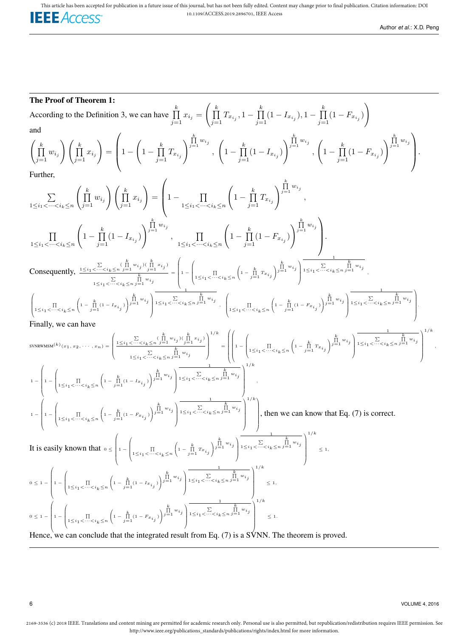This article has been accepted for publication in a future issue of this journal, but has not been fully edited. Content may change prior to final publication. Citation information: DOI 10.1109/ACCESS.2019.2896701, IEEE Access **IEEE** Access

Author *et al.*: X.D. Peng

# The Proof of Theorem 1:

According to the Definition 3, we can have  $\prod_{k=1}^{k}$  $\prod_{j=1} x_{i_j} =$  $\sqrt{ }$  $\prod^k$  $\prod_{j=1}^k T_{x_{i_j}}, 1 - \prod_{j=1}^k$  $\prod_{j=1}^{k} (1 - I_{x_{i_j}}), 1 - \prod_{j=1}^{k}$  $\prod_{j=1} (1 - F_{x_{i_j}})$  $\setminus$ and  $\sqrt{ }$  $\prod^k$  $\prod_{j=1}^k w_{i_j} \Bigg) \left( \prod_{j=1}^k$  $\prod_{j=1} x_{i_j}$  $\setminus$ =  $\sqrt{ }$  $\vert 1 \sqrt{ }$  $1-\prod^k$  $\prod_{j=1} T_{x_{i_j}}$  $\prod_{j=1}^k w_{ij}$ ,  $\sqrt{ }$  $1-\prod^k$  $\prod_{j=1} (1 - I_{x_{i_j}})$  $\prod_{j=1}^k w_{i_j}$ ,  $\sqrt{ }$  $1-\prod^k$  $\prod_{j=1} (1 - F_{x_{i_j}})$  $\left\langle \prod_{j=1}^k w_{i_j} \right\rangle$  $\vert \cdot \vert$ 

Further,

\n
$$
\sum_{1 \leq i_1 < \dots < i_k \leq n} \left( \prod_{j=1}^k w_{i_j} \right) \left( \prod_{j=1}^k x_{i_j} \right) = \left( 1 - \prod_{1 \leq i_1 < \dots < i_k \leq n} \left( 1 - \prod_{j=1}^k T_{x_{i_j}} \right)^{\prod\limits_{j=1}^k w_{i_j}},
$$
\n
$$
\prod_{1 \leq i_1 < \dots < i_k \leq n} \left( 1 - \prod_{j=1}^k (1 - I_{x_{i_j}}) \right)^{\prod\limits_{j=1}^k w_{i_j}},
$$
\n
$$
\prod_{1 \leq i_1 < \dots < i_k \leq n} \left( 1 - \prod_{j=1}^k (1 - I_{x_{i_j}}) \right)^{\prod\limits_{j=1}^k w_{i_j}},
$$
\n
$$
\sum_{1 \leq i_1 < \dots < i_k \leq n} \frac{\binom{k}{j-1} w_{i_j} \binom{k}{j-1} x_{i_j}}{\prod\limits_{1 \leq i_1 < \dots < i_k \leq n} \left( 1 - \prod_{j=1}^k (1 - F_{x_{i_j}}) \right)^{\prod\limits_{j=1}^k w_{i_j}},
$$
\n
$$
\left( \prod_{1 \leq i_1 < \dots < i_k \leq n} \left( 1 - \prod_{j=1}^k (1 - I_{x_{i_j}}) \right)^{\prod\limits_{j=1}^k w_{i_j}}, \left( 1 - \prod_{j=1}^k x_{i_j} \right)^{\prod\limits_{j=1}^k w_{i_j}}, \left( 1 - \prod_{j=1}^k (1 - F_{x_{i_j}}) \right)^{\prod\limits_{j=1}^k w_{i_j}}, \left( 1 - \prod_{j=1}^k (1 - F_{x_{i_j}}) \right)^{\prod\limits_{j=1}^k w_{i_j}},
$$
\nFinally, we can have

\n
$$
\sum_{\text{SYNRWMSM}(k)} \left( x_{1, x_{2}, \dots, x_{n}} \right) = \left( \frac{1 \leq i_1 < \dots < i_k \leq n} \prod_{j=1}^k w_{i_j} \right)^{\prod\limits_{j=1}
$$

$$
1 - \left(1 - \left(1 - \left(1 - \frac{k}{1 \leq i_1 < \dots < i_k \leq n} \left(1 - \frac{k}{j-1} (1 - I_{x_{i_j}})\right)^{\frac{R}{j-1}} u_{i_j}\right) \frac{1}{1 \leq i_1 < \dots < i_k \leq n} \frac{1}{\left(1 - \frac{k}{j-1} (1 - I_{x_{i_j}})\right)^{\frac{R}{j-1}}} v_{i_j}\right) \frac{1}{1 \leq i_1 < \dots < i_k \leq n} \frac{1}{\left(1 - \frac{k}{j-1} (1 - I_{x_{i_j}})\right)^{\frac{R}{j-1}}} v_{i_j}\right)^{1/k},
$$
\n
$$
1 - \left(1 - \left(1 - \left(1 - \frac{k}{j-1} (1 - I_{x_{i_j}})\right)^{\frac{R}{j-1}} v_{i_j}\right) \frac{1}{1 \leq i_1 < \dots < i_k \leq n} \frac{1}{\left(1 - \frac{k}{j-1} (1 - I_{x_{i_j}})\right)^{\frac{R}{j-1}}} v_{i_j}\right) \frac{1}{1 \leq i_1 < \dots < i_k \leq n} \frac{1}{\left(1 - \frac{k}{j-1} (1 - I_{x_{i_j}})\right)^{\frac{R}{j-1}}} v_{i_j}\right)^{1/k},
$$
\nthen we can know that Eq. (7) is correct.

It is easily known that 
$$
0 \leq \left(1 - \left(\prod_{1 \leq i_1 < \cdots < i_k \leq n} \left(1 - \prod_{j=1}^k x_{i_j}\right)^{\prod_{j=1}^k w_{i_j}}\right) \sum_{j=1}^{k} \sum_{i=1}^{w_{i,j}} \left(1 - \sum_{j=1}^k w_{i_j}\right) \sum_{j=1}^{k} w_{i_j} \right) \leq 1,
$$
\n
$$
0 \leq 1 - \left(1 - \left(\prod_{1 \leq i_1 < \cdots < i_k \leq n} \left(1 - \prod_{j=1}^k (1 - I_{x_{i_j}})\right)^{\prod_{j=1}^k w_{i_j}}\right) \sum_{j=1}^{k} \sum_{i \leq i_1 < \cdots < i_k \leq n} \sum_{j=1}^k w_{i_j} \right)^{1/k} \leq 1,
$$
\n
$$
0 \leq 1 - \left(1 - \left(\prod_{1 \leq i_1 < \cdots < i_k \leq n} \left(1 - \prod_{j=1}^k (1 - F_{x_{i_j}})\right)^{\prod_{j=1}^k w_{i_j}}\right)^{\prod_{j=1}^k w_{i_j}}\right)^{1/k} \sum_{1 \leq i_1 < \cdots < i_k \leq n} \sum_{j=1}^k w_{i_j} \right)^{1/k} \leq 1.
$$

Hence, we can conclude that the integrated result from Eq. (7) is a SVNN. The theorem is proved.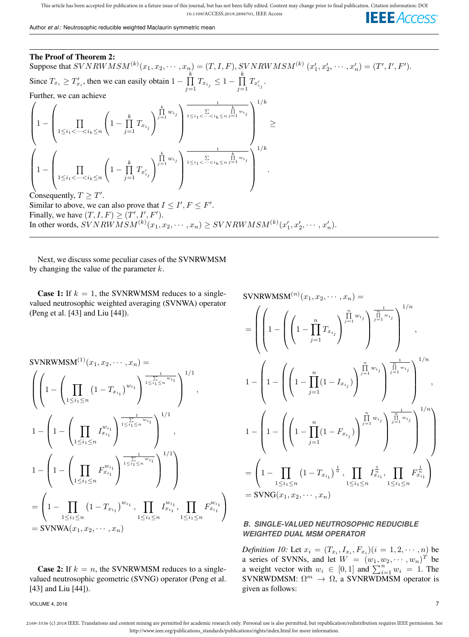This article has been accepted for publication in a future issue of this journal, but has not been fully edited. Content may change prior to final publication. Citation information: DOI 10.1109/ACCESS.2019.2896701, IEEE Access

Author *et al.*: Neutrosophic reducible weighted Maclaurin symmetric mean



#### The Proof of Theorem 2:

Suppose that  $SVRWMSM^{(k)}(x_1, x_2, \dots, x_n) = (T, I, F), SVNRWMSM^{(k)}(x'_1, x'_2, \dots, x'_n) = (T', I', F').$ Since  $T_{x_i} \geq T'_{x_i}$ , then we can easily obtain  $1 - \prod_{i=1}^{k}$  $\prod_{j=1}^{k} T_{x_{i_j}} \leq 1 - \prod_{j=1}^{k}$  $\prod_{j=1} T_{x'_{i_j}}.$ Further, we can achieve  $1/k$ 

$$
\left(1 - \left(\prod_{1 \leq i_1 < \cdots < i_k \leq n} \left(1 - \prod_{j=1}^k T_{x_{i_j}}\right)^{\prod\limits_{j=1}^k w_{i_j}}\right)^{\frac{1}{1 \leq i_1 < \cdots < i_k \leq n} \prod\limits_{j=1}^k w_{i_j}}\right)^{1/k} \ge \right)^{1/k}
$$
\n
$$
\left(1 - \left(\prod_{1 \leq i_1 < \cdots < i_k \leq n} \left(1 - \prod_{j=1}^k T_{x'_{i_j}}\right)^{\prod\limits_{j=1}^k w_{i_j}}\right)^{\frac{k}{1 \leq i_1 < \cdots < i_k \leq n} \prod\limits_{j=1}^k w_{i_j}}\right)^{1/k}
$$

Consequently,  $T \geq T'$ . Similar to above, we can also prove that  $I \leq I', F \leq F'$ . Finally, we have  $(T, I, F) \geq (T', I', F')$ . In other words,  $SVNRWMSM^{(k)}(x_1, x_2, \cdots, x_n) \geq SVNRWMSM^{(k)}(x_1', x_2', \cdots, x_n')$ .

Next, we discuss some peculiar cases of the SVNRWMSM by changing the value of the parameter  $k$ .

**Case 1:** If  $k = 1$ , the SVNRWMSM reduces to a singlevalued neutrosophic weighted averaging (SVNWA) operator (Peng et al. [43] and Liu [44]).

$$
\begin{split} &\text{SVRWMSM}^{(1)}(x_1, x_2, \cdots, x_n) = \\ &\left( \left( 1 - \left( \prod_{1 \leq i_1 \leq n} \left( 1 - T_{x_{i_1}} \right)^{w_{i_1}} \right)^{\frac{1}{1 \leq i_1 \leq n} \sum_{i_1}^{w_{i_1}}} \right)^{1/1} , \\ &\qquad 1 - \left( 1 - \left( \prod_{1 \leq i_1 \leq n} I_{x_{i_1}}^{w_{i_1}} \right)^{\frac{1}{1 \leq i_1 \leq n} \sum_{i_1}^{w_{i_1}}} \right)^{1/1} , \\ &\qquad 1 - \left( 1 - \left( \prod_{1 \leq i_1 \leq n} F_{x_{i_1}}^{w_{i_1}} \right)^{\frac{1}{1 \leq i_1 \leq n} \sum_{i_1}^{w_{i_1}}} \right)^{1/1} \right) \\ & = \left( 1 - \prod_{1 \leq i_1 \leq n} \left( 1 - T_{x_{i_1}} \right)^{w_{i_1}} , \prod_{1 \leq i_1 \leq n} I_{x_{i_1}}^{w_{i_1}} , \prod_{1 \leq i_1 \leq n} F_{x_{i_1}}^{w_{i_1}} \right) \\ & = \text{SVNWA}(x_1, x_2, \cdots, x_n) \end{split}
$$

**Case 2:** If  $k = n$ , the SVNRWMSM reduces to a singlevalued neutrosophic geometric (SVNG) operator (Peng et al. [43] and Liu [44]).

$$
\begin{split} & \text{SVRWMSM}^{(n)}(x_1, x_2, \cdots, x_n) = \\ & = \left( \left( 1 - \left( \left( 1 - \prod_{j=1}^n T_{x_{i_j}} \right)^{\prod\limits_{j=1}^{n} w_{i_j}} \right)^{\frac{1}{\prod_{j=1}^{n} w_{i_j}} \right)^{1/n} \right), \\ & 1 - \left( 1 - \left( \left( 1 - \prod_{j=1}^n (1 - I_{x_{i_j}}) \right)^{\prod\limits_{j=1}^{n} w_{i_j}} \right)^{\frac{1}{\prod\limits_{j=1}^{n} w_{i_j}} \right), \\ & 1 - \left( 1 - \left( \left( 1 - \prod_{j=1}^n (1 - F_{x_{i_j}}) \right)^{\prod\limits_{j=1}^{n} w_{i_j}} \right)^{\frac{1}{\prod\limits_{j=1}^{n} w_{i_j}} \right)^{1/n} \right) \\ & = \left( 1 - \prod_{1 \le i_1 \le n} \left( 1 - T_{x_{i_1}} \right)^{\frac{1}{n}}, \prod_{1 \le i_1 \le n} I_{x_{i_1}}^{\frac{1}{n}}, \prod_{1 \le i_1 \le n} F_{x_{i_1}}^{\frac{1}{n}} \right) \\ & = \text{SVNG}(x_1, x_2, \cdots, x_n) \end{split}
$$

# *B. SINGLE-VALUED NEUTROSOPHIC REDUCIBLE WEIGHTED DUAL MSM OPERATOR*

*Definition 10:* Let  $x_i = (T_{x_i}, I_{x_i}, F_{x_i}) (i = 1, 2, \dots, n)$  be a series of SVNNs, and let  $W = (w_1, w_2, \dots, w_n)^T$  be a weight vector with  $w_i \in [0,1]$  and  $\sum_{i=1}^n w_i = 1$ . The SVNRWDMSM:  $\Omega^m \to \Omega$ , a SVNRWDMSM operator is given as follows:

VOLUME 4, 2016  $\hskip 1.6cm 7$ 

<sup>2169-3536 (</sup>c) 2018 IEEE. Translations and content mining are permitted for academic research only. Personal use is also permitted, but republication/redistribution requires IEEE permission. See http://www.ieee.org/publications\_standards/publications/rights/index.html for more information.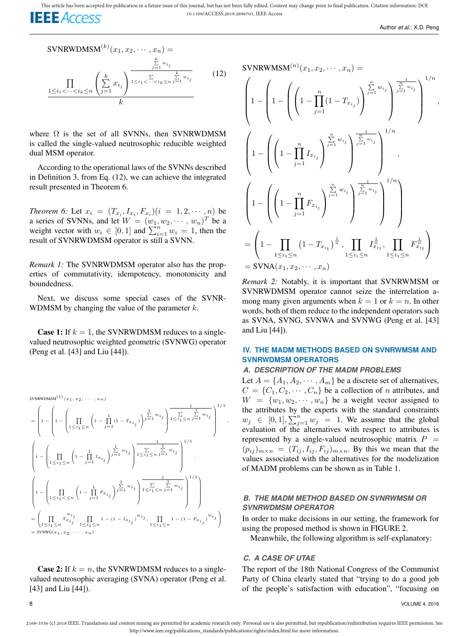$$
SVRWDMSM^{(k)}(x_1, x_2, \cdots, x_n) = \frac{\sum\limits_{j=1}^{k} w_{i_j}}{\prod\limits_{1 \le i_1 < \cdots < i_k \le n} \left(\sum\limits_{j=1}^{k} x_{i_j}\right)^{\frac{k}{1 \le i_1 < \cdots < i_k \le n} \sum\limits_{j=1}^{k} w_{i_j}}}
$$
(12)

where  $\Omega$  is the set of all SVNNs, then SVNRWDMSM is called the single-valued neutrosophic reducible weighted dual MSM operator.

According to the operational laws of the SVNNs described in Definition 3, from Eq. (12), we can achieve the integrated result presented in Theorem 6.

*Theorem 6:* Let  $x_i = (T_{x_i}, I_{x_i}, F_{x_i})$  ( $i = 1, 2, \dots, n$ ) be a series of SVNNs, and let  $W = (w_1, w_2, \dots, w_n)^T$  be a weight vector with  $w_i \in [0,1]$  and  $\sum_{i=1}^{n} w_i = 1$ , then the result of SVNRWDMSM operator is still a SVNN.

*Remark 1:* The SVNRWDMSM operator also has the properties of commutativity, idempotency, monotonicity and boundedness.

Next, we discuss some special cases of the SVNR-WDMSM by changing the value of the parameter  $k$ .

**Case 1:** If  $k = 1$ , the SVNRWDMSM reduces to a singlevalued neutrosophic weighted geometric (SVNWG) operator (Peng et al. [43] and Liu [44]).

$$
\begin{split} & \text{SVRWDMSM}^{(1)}(x_1,x_2,\cdots,x_n) \\ & = \left(1-\left(1-\left(\prod_{1\leq i_1\leq n}\left(1-\prod_{j=1}^1{(1-T_{x_{i_j}})}\right)^{\sum\limits_{j=1}^1{w_{i_j}}}\right)^{\frac{1}{1\leq i_1\leq n}\sum\limits_{j=1}^1{w_{i_j}}}\right)^{1/1}, \\ & \left(1-\left(\prod_{1\leq i_1\leq n}\left(1-\prod_{j=1}^1{I_{x_{i_j}}}\right)^{\sum\limits_{j=1}^1{w_{i_j}}}\right)^{\frac{1}{1\leq i_1\leq n}\sum\limits_{j=1}^1{w_{i_j}}}\right)^{1/1}, \\ & \left(1-\left(\prod_{1\leq i_1<\leq n}\left(1-\prod_{j=1}^1{F_{x_{i_j}}}\right)^{\sum\limits_{j=1}^1{w_{i_j}}}\right)^{\frac{1}{1\leq i_1\leq n}\sum\limits_{j=1}^1{w_{i_j}}}\right)^{1/1}\right) \\ & = \left(\prod_{1\leq i_1\leq n}T^{w_{i_j}}_{x_{i_j}}\,,\prod_{1\leq i_1\leq n}1-(1-I_{x_{i_j}})^{w_{i_j}}\,,\prod_{1\leq i_1\leq n}1-(1-F_{x_{i_j}})^{w_{i_j}}\right) \\ & = \text{SVMWG}(x_1,x_2,\cdots,x_n) \end{split}
$$

**Case 2:** If  $k = n$ , the SVNRWDMSM reduces to a singlevalued neutrosophic averaging (SVNA) operator (Peng et al. [43] and Liu [44]).

$$
\begin{split} & \text{SVRWMSM}^{(n)}(x_1, x_2, \cdots, x_n) = \\ & \left( 1 - \left( \left( 1 - \prod_{j=1}^n (1 - T_{x_{i_j}}) \right)^{\sum\limits_{j=1}^n w_{i_j}} \right)^{\frac{1}{\sum\limits_{j=1}^n w_{i_j}}}\right)^{1/n} \\ & \left( 1 - \left( \left( 1 - \prod_{j=1}^n I_{x_{i_j}} \right)^{\sum\limits_{j=1}^n w_{i_j}} \right)^{\frac{1}{\sum\limits_{j=1}^n w_{i_j}}}\right)^{1/n} \\ & \left( 1 - \left( \left( 1 - \prod_{j=1}^n F_{x_{i_j}} \right)^{\sum\limits_{j=1}^n w_{i_j}} \right)^{\frac{1}{\sum\limits_{j=1}^n w_{i_j}}}\right)^{1/n} \right) \\ & = \left( 1 - \prod_{1 \leq i_1 \leq n} \left( 1 - T_{x_{i_1}} \right)^{\frac{1}{n}} , \prod_{1 \leq i_1 \leq n} I_{x_{i_1}}^{\frac{1}{n}} , \prod_{1 \leq i_1 \leq n} F_{x_{i_1}}^{\frac{1}{n}} \right) \\ & = \text{SVMA}(x_1, x_2, \cdots, x_n) \end{split}
$$

*Remark 2:* Notably, it is important that SVNRWMSM or SVNRWDMSM operator cannot seize the interrelation among many given arguments when  $k = 1$  or  $k = n$ . In other words, both of them reduce to the independent operators such as SVNA, SVNG, SVNWA and SVNWG (Peng et al. [43] and Liu [44]).

## **IV. THE MADM METHODS BASED ON SVNRWMSM AND SVNRWDMSM OPERATORS**

#### *A. DESCRIPTION OF THE MADM PROBLEMS*

Let  $A = \{A_1, A_2, \dots, A_m\}$  be a discrete set of alternatives,  $C = \{C_1, C_2, \dots, C_n\}$  be a collection of n attributes, and  $W = \{w_1, w_2, \dots, w_n\}$  be a weight vector assigned to the attributes by the experts with the standard constraints  $w_j \in [0, 1], \sum_{j=1}^n w_j = 1$ . We assume that the global evaluation of the alternatives with respect to attributes is represented by a single-valued neutrosophic matrix  $P =$  $(p_{ij})_{m \times n} = (T_{ij}, I_{ij}, F_{ij})_{m \times n}$ . By this we mean that the values associated with the alternatives for the modelization of MADM problems can be shown as in Table 1.

## *B. THE MADM METHOD BASED ON SVNRWMSM OR SVNRWDMSM OPERATOR*

In order to make decisions in our setting, the framework for using the proposed method is shown in FIGURE 2.

Meanwhile, the following algorithm is self-explanatory:

#### *C. A CASE OF UTAE*

The report of the 18th National Congress of the Communist Party of China clearly stated that "trying to do a good job of the people's satisfaction with education", "focusing on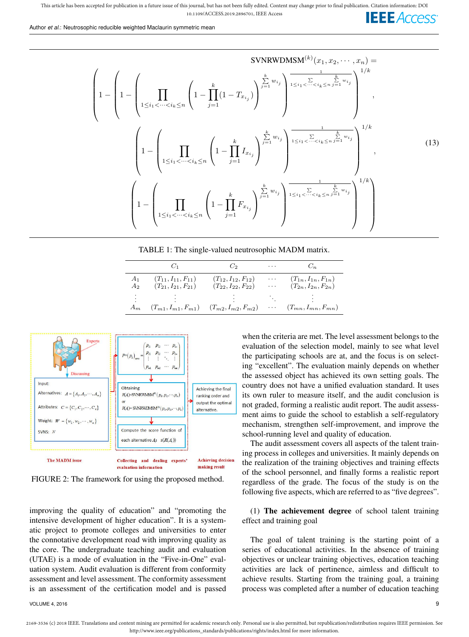This article has been accepted for publication in a future issue of this journal, but has not been fully edited. Content may change prior to final publication. Citation information: DOI 10.1109/ACCESS.2019.2896701, IEEE Access **IEEE** Access



$$
\text{SVRWDMSM}^{(k)}(x_1, x_2, \dots, x_n) =
$$
\n
$$
\left(1 - \left(1 - \left( \prod_{1 \le i_1 < \dots < i_k \le n} \left(1 - \prod_{j=1}^k (1 - T_{x_{i_j}}) \right)^{\sum_{j=1}^k w_{i_j}} \right)^{\frac{k}{1 \le i_1 < \dots < i_k \le n} \sum_{j=1}^k \frac{k}{1 - \sum_{j=1}^k w_{i_j}} \right)^{1/k},
$$
\n
$$
\left(1 - \left( \prod_{1 \le i_1 < \dots < i_k \le n} \left(1 - \prod_{j=1}^k I_{x_{i_j}} \right)^{\sum_{j=1}^k w_{i_j}} \right)^{\frac{k}{1 \le i_1 < \dots < i_k \le n} \sum_{j=1}^k \frac{k}{1 - \sum_{j=1}^k w_{i_j}} \right)^{1/k},
$$
\n
$$
\left(1 - \left( \prod_{1 \le i_1 < \dots < i_k \le n} \left(1 - \prod_{j=1}^k F_{x_{i_j}} \right)^{\sum_{j=1}^k w_{i_j}} \right)^{\frac{k}{1 \le i_1 < \dots < i_k \le n} \sum_{j=1}^k \frac{k}{1 - \sum_{j=1}^k w_{i_j}} \right)^{1/k} \right)
$$
\n
$$
(13)
$$

TABLE 1: The single-valued neutrosophic MADM matrix.

|                |                                                                                           | $C_2$                                                    | $\cdots$             | $C_n$                                                    |
|----------------|-------------------------------------------------------------------------------------------|----------------------------------------------------------|----------------------|----------------------------------------------------------|
| $A_1$<br>$A_2$ | $(T_{11}, I_{11}, F_{11})$<br>$(T_{21}, I_{21}, F_{21})$                                  | $(T_{12}, I_{12}, F_{12})$<br>$(T_{22}, I_{22}, F_{22})$ | $\cdots$<br>$\cdots$ | $(T_{1n}, I_{1n}, F_{1n})$<br>$(T_{2n}, I_{2n}, F_{2n})$ |
| $A_m$          | $(T_{m1}, I_{m1}, F_{m1})$ $(T_{m2}, I_{m2}, F_{m2})$ $\cdots$ $(T_{mn}, I_{mn}, F_{mn})$ |                                                          |                      |                                                          |



FIGURE 2: The framework for using the proposed method.

improving the quality of education" and "promoting the intensive development of higher education". It is a systematic project to promote colleges and universities to enter the connotative development road with improving quality as the core. The undergraduate teaching audit and evaluation (UTAE) is a mode of evaluation in the "Five-in-One" evaluation system. Audit evaluation is different from conformity assessment and level assessment. The conformity assessment is an assessment of the certification model and is passed

when the criteria are met. The level assessment belongs to the evaluation of the selection model, mainly to see what level the participating schools are at, and the focus is on selecting "excellent". The evaluation mainly depends on whether the assessed object has achieved its own setting goals. The country does not have a unified evaluation standard. It uses its own ruler to measure itself, and the audit conclusion is not graded, forming a realistic audit report. The audit assessment aims to guide the school to establish a self-regulatory mechanism, strengthen self-improvement, and improve the school-running level and quality of education.

The audit assessment covers all aspects of the talent training process in colleges and universities. It mainly depends on the realization of the training objectives and training effects of the school personnel, and finally forms a realistic report regardless of the grade. The focus of the study is on the following five aspects, which are referred to as "five degrees".

(1) The achievement degree of school talent training effect and training goal

The goal of talent training is the starting point of a series of educational activities. In the absence of training objectives or unclear training objectives, education teaching activities are lack of pertinence, aimless and difficult to achieve results. Starting from the training goal, a training process was completed after a number of education teaching

VOLUME 4, 2016 9

2169-3536 (c) 2018 IEEE. Translations and content mining are permitted for academic research only. Personal use is also permitted, but republication/redistribution requires IEEE permission. See http://www.ieee.org/publications\_standards/publications/rights/index.html for more information.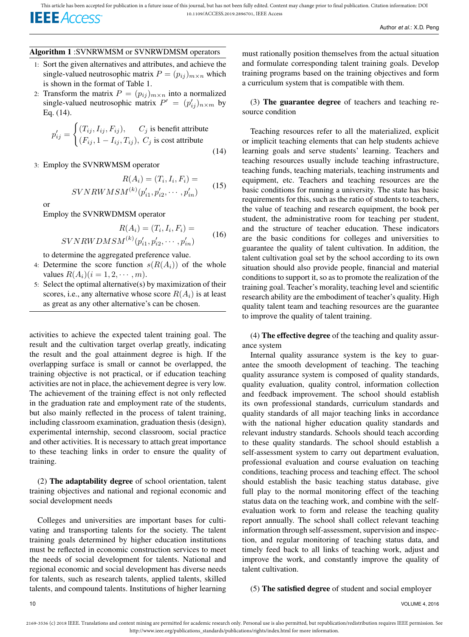## Algorithm 1 :SVNRWMSM or SVNRWDMSM operators

- 1: Sort the given alternatives and attributes, and achieve the single-valued neutrosophic matrix  $P = (p_{ij})_{m \times n}$  which is shown in the format of Table 1.
- 2: Transform the matrix  $P = (p_{ij})_{m \times n}$  into a normalized single-valued neutrosophic matrix  $P' = (p'_{ij})_{n \times m}$  by Eq. (14).

$$
p'_{ij} = \begin{cases} (T_{ij}, I_{ij}, F_{ij}), & C_j \text{ is benefit attribute} \\ (F_{ij}, 1 - I_{ij}, T_{ij}), & C_j \text{ is cost attribute} \end{cases}
$$
(14)

3: Employ the SVNRWMSM operator

$$
R(A_i) = (T_i, I_i, F_i) =
$$
  

$$
SVNRWMSM^{(k)}(p'_{i1}, p'_{i2}, \cdots, p'_{in})
$$
 (15)

or

Employ the SVNRWDMSM operator

$$
R(A_i) = (T_i, I_i, F_i) =
$$
  

$$
SVNRWDMSM^{(k)}(p'_{i1}, p'_{i2}, \cdots, p'_{in})
$$
 (16)

to determine the aggregated preference value.

- 4: Determine the score function  $s(R(A_i))$  of the whole values  $R(A_i)(i = 1, 2, \cdots, m)$ .
- 5: Select the optimal alternative(s) by maximization of their scores, i.e., any alternative whose score  $R(A_i)$  is at least as great as any other alternative's can be chosen.

activities to achieve the expected talent training goal. The result and the cultivation target overlap greatly, indicating the result and the goal attainment degree is high. If the overlapping surface is small or cannot be overlapped, the training objective is not practical, or if education teaching activities are not in place, the achievement degree is very low. The achievement of the training effect is not only reflected in the graduation rate and employment rate of the students, but also mainly reflected in the process of talent training, including classroom examination, graduation thesis (design), experimental internship, second classroom, social practice and other activities. It is necessary to attach great importance to these teaching links in order to ensure the quality of training.

(2) The adaptability degree of school orientation, talent training objectives and national and regional economic and social development needs

Colleges and universities are important bases for cultivating and transporting talents for the society. The talent training goals determined by higher education institutions must be reflected in economic construction services to meet the needs of social development for talents. National and regional economic and social development has diverse needs for talents, such as research talents, applied talents, skilled talents, and compound talents. Institutions of higher learning must rationally position themselves from the actual situation and formulate corresponding talent training goals. Develop training programs based on the training objectives and form a curriculum system that is compatible with them.

(3) The guarantee degree of teachers and teaching resource condition

Teaching resources refer to all the materialized, explicit or implicit teaching elements that can help students achieve learning goals and serve students' learning. Teachers and teaching resources usually include teaching infrastructure, teaching funds, teaching materials, teaching instruments and equipment, etc. Teachers and teaching resources are the basic conditions for running a university. The state has basic requirements for this, such as the ratio of students to teachers, the value of teaching and research equipment, the book per student, the administrative room for teaching per student, and the structure of teacher education. These indicators are the basic conditions for colleges and universities to guarantee the quality of talent cultivation. In addition, the talent cultivation goal set by the school according to its own situation should also provide people, financial and material conditions to support it, so as to promote the realization of the training goal. Teacher's morality, teaching level and scientific research ability are the embodiment of teacher's quality. High quality talent team and teaching resources are the guarantee to improve the quality of talent training.

(4) The effective degree of the teaching and quality assurance system

Internal quality assurance system is the key to guarantee the smooth development of teaching. The teaching quality assurance system is composed of quality standards, quality evaluation, quality control, information collection and feedback improvement. The school should establish its own professional standards, curriculum standards and quality standards of all major teaching links in accordance with the national higher education quality standards and relevant industry standards. Schools should teach according to these quality standards. The school should establish a self-assessment system to carry out department evaluation, professional evaluation and course evaluation on teaching conditions, teaching process and teaching effect. The school should establish the basic teaching status database, give full play to the normal monitoring effect of the teaching status data on the teaching work, and combine with the selfevaluation work to form and release the teaching quality report annually. The school shall collect relevant teaching information through self-assessment, supervision and inspection, and regular monitoring of teaching status data, and timely feed back to all links of teaching work, adjust and improve the work, and constantly improve the quality of talent cultivation.

(5) The satisfied degree of student and social employer

2169-3536 (c) 2018 IEEE. Translations and content mining are permitted for academic research only. Personal use is also permitted, but republication/redistribution requires IEEE permission. See http://www.ieee.org/publications\_standards/publications/rights/index.html for more information.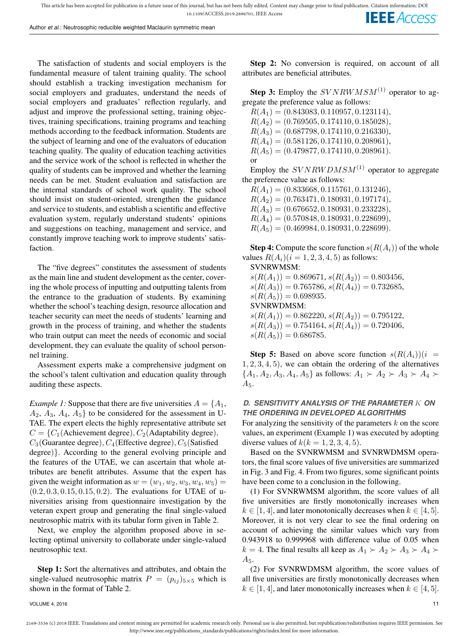The satisfaction of students and social employers is the fundamental measure of talent training quality. The school should establish a tracking investigation mechanism for social employers and graduates, understand the needs of social employers and graduates' reflection regularly, and adjust and improve the professional setting, training objectives, training specifications, training programs and teaching methods according to the feedback information. Students are the subject of learning and one of the evaluators of education teaching quality. The quality of education teaching activities and the service work of the school is reflected in whether the quality of students can be improved and whether the learning needs can be met. Student evaluation and satisfaction are the internal standards of school work quality. The school should insist on student-oriented, strengthen the guidance and service to students, and establish a scientific and effective evaluation system, regularly understand students' opinions and suggestions on teaching, management and service, and constantly improve teaching work to improve students' satisfaction.

The "five degrees" constitutes the assessment of students as the main line and student development as the center, covering the whole process of inputting and outputting talents from the entrance to the graduation of students. By examining whether the school's teaching design, resource allocation and teacher security can meet the needs of students' learning and growth in the process of training, and whether the students who train output can meet the needs of economic and social development, they can evaluate the quality of school personnel training.

Assessment experts make a comprehensive judgment on the school's talent cultivation and education quality through auditing these aspects.

*Example 1:* Suppose that there are five universities  $A = \{A_1, A_2, \ldots, A_m\}$  $A_2$ ,  $A_3$ ,  $A_4$ ,  $A_5$  to be considered for the assessment in U-TAE. The expert elects the highly representative attribute set  $C = \{C_1(\text{Achievement degree}), C_2(\text{Adaptability degree}),\}$  $C_3$ (Guarantee degree),  $C_4$ (Effective degree),  $C_5$ (Satisfied degree)}. According to the general evolving principle and the features of the UTAE, we can ascertain that whole attributes are benefit attributes. Assume that the expert has given the weight information as  $w = (w_1, w_2, w_3, w_4, w_5)$  =  $(0.2, 0.3, 0.15, 0.15, 0.2)$ . The evaluations for UTAE of universities arising from questionnaire investigation by the veteran expert group and generating the final single-valued neutrosophic matrix with its tabular form given in Table 2.

Next, we employ the algorithm proposed above in selecting optimal university to collaborate under single-valued neutrosophic text.

Step 1: Sort the alternatives and attributes, and obtain the single-valued neutrosophic matrix  $P = (p_{ij})_{5 \times 5}$  which is shown in the format of Table 2.

Step 2: No conversion is required, on account of all attributes are beneficial attributes.

**Step 3:** Employ the  $SVNRWMSM^{(1)}$  operator to aggregate the preference value as follows:

 $R(A_1) = (0.843083, 0.110957, 0.123114),$  $R(A_2) = (0.769505, 0.174110, 0.185028),$  $R(A_3) = (0.687798, 0.174110, 0.216330),$  $R(A_4) = (0.581126, 0.174110, 0.208961),$  $R(A_5) = (0.479877, 0.174110, 0.208961).$ or

Employ the  $SVRWDMSM^{(1)}$  operator to aggregate the preference value as follows:

 $R(A_1) = (0.833668, 0.115761, 0.131246),$  $R(A_2) = (0.763471, 0.180931, 0.197174),$  $R(A_3) = (0.676652, 0.180931, 0.233228),$  $R(A_4) = (0.570848, 0.180931, 0.228699),$  $R(A_5) = (0.469984, 0.180931, 0.228699).$ 

**Step 4:** Compute the score function  $s(R(A_i))$  of the whole values  $R(A_i)(i = 1, 2, 3, 4, 5)$  as follows:

SVNRWMSM:  $s(R(A_1)) = 0.869671, s(R(A_2)) = 0.803456,$  $s(R(A_3)) = 0.765786, s(R(A_4)) = 0.732685,$  $s(R(A_5)) = 0.698935.$ SVNRWDMSM:  $s(R(A_1)) = 0.862220, s(R(A_2)) = 0.795122,$  $s(R(A_3)) = 0.754164, s(R(A_4)) = 0.720406,$  $s(R(A_5)) = 0.686785.$ 

**Step 5:** Based on above score function  $s(R(A_i))(i)$ 1, 2, 3, 4, 5), we can obtain the ordering of the alternatives  ${A_1, A_2, A_3, A_4, A_5}$  as follows:  $A_1 \succ A_2 \succ A_3 \succ A_4$  $A_5.$ 

## *D. SENSITIVITY ANALYSIS OF THE PARAMETER* K *ON THE ORDERING IN DEVELOPED ALGORITHMS*

For analyzing the sensitivity of the parameters  $k$  on the score values, an experiment (Example 1) was executed by adopting diverse values of  $k(k = 1, 2, 3, 4, 5)$ .

Based on the SVNRWMSM and SVNRWDMSM operators, the final score values of five universities are summarized in Fig. 3 and Fig. 4. From two figures, some significant points have been come to a conclusion in the following.

(1) For SVNRWMSM algorithm, the score values of all five universities are firstly monotonically increases when  $k \in [1, 4]$ , and later monotonically decreases when  $k \in [4, 5]$ . Moreover, it is not very clear to see the final ordering on account of achieving the similar values which vary from 0.943918 to 0.999968 with difference value of 0.05 when  $k = 4$ . The final results all keep as  $A_1 \succ A_2 \succ A_3 \succ A_4 \succ$  $A_5.$ 

(2) For SVNRWDMSM algorithm, the score values of all five universities are firstly monotonically decreases when  $k \in [1, 4]$ , and later monotonically increases when  $k \in [4, 5]$ .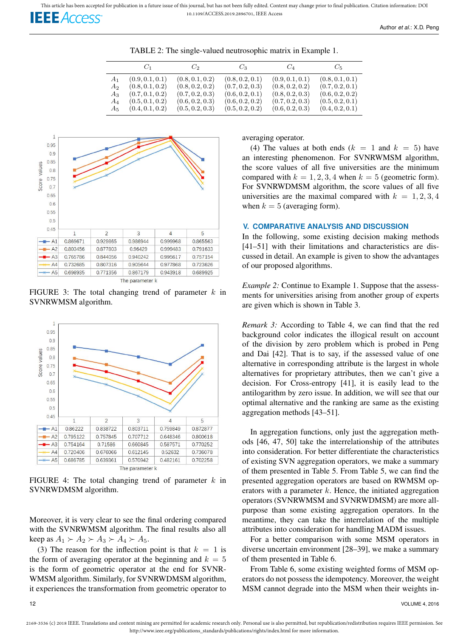

Author *et al.*: X.D. Peng

TABLE 2: The single-valued neutrosophic matrix in Example 1.

|                | $C_1$           | C,              | $C_3$           | $C_4$           | $C_5$           |
|----------------|-----------------|-----------------|-----------------|-----------------|-----------------|
| A <sub>1</sub> | (0.9, 0.1, 0.1) | (0.8, 0.1, 0.2) | (0.8, 0.2, 0.1) | (0.9, 0.1, 0.1) | (0.8, 0.1, 0.1) |
| A <sub>2</sub> | (0.8, 0.1, 0.2) | (0.8, 0.2, 0.2) | (0.7, 0.2, 0.3) | (0.8, 0.2, 0.2) | (0.7, 0.2, 0.1) |
| $A_3$          | (0.7, 0.1, 0.2) | (0.7, 0.2, 0.3) | (0.6, 0.2, 0.1) | (0.8, 0.2, 0.3) | (0.6, 0.2, 0.2) |
| $A_4$          | (0.5, 0.1, 0.2) | (0.6, 0.2, 0.3) | (0.6, 0.2, 0.2) | (0.7, 0.2, 0.3) | (0.5, 0.2, 0.1) |
| $A_5$          | (0.4, 0.1, 0.2) | (0.5, 0.2, 0.3) | (0.5, 0.2, 0.2) | (0.6, 0.2, 0.3) | (0.4, 0.2, 0.1) |



FIGURE 3: The total changing trend of parameter  $k$  in SVNRWMSM algorithm.



FIGURE 4: The total changing trend of parameter  $k$  in SVNRWDMSM algorithm.

Moreover, it is very clear to see the final ordering compared with the SVNRWMSM algorithm. The final results also all keep as  $A_1 \succ A_2 \succ A_3 \succ A_4 \succ A_5$ .

(3) The reason for the inflection point is that  $k = 1$  is the form of averaging operator at the beginning and  $k = 5$ is the form of geometric operator at the end for SVNR-WMSM algorithm. Similarly, for SVNRWDMSM algorithm, it experiences the transformation from geometric operator to averaging operator.

(4) The values at both ends  $(k = 1 \text{ and } k = 5)$  have an interesting phenomenon. For SVNRWMSM algorithm, the score values of all five universities are the minimum compared with  $k = 1, 2, 3, 4$  when  $k = 5$  (geometric form). For SVNRWDMSM algorithm, the score values of all five universities are the maximal compared with  $k = 1, 2, 3, 4$ when  $k = 5$  (averaging form).

#### **V. COMPARATIVE ANALYSIS AND DISCUSSION**

In the following, some existing decision making methods [41–51] with their limitations and characteristics are discussed in detail. An example is given to show the advantages of our proposed algorithms.

*Example 2:* Continue to Example 1. Suppose that the assessments for universities arising from another group of experts are given which is shown in Table 3.

*Remark 3:* According to Table 4, we can find that the red background color indicates the illogical result on account of the division by zero problem which is probed in Peng and Dai [42]. That is to say, if the assessed value of one alternative in corresponding attribute is the largest in whole alternatives for proprietary attributes, then we can't give a decision. For Cross-entropy [41], it is easily lead to the antilogarithm by zero issue. In addition, we will see that our optimal alternative and the ranking are same as the existing aggregation methods [43–51].

In aggregation functions, only just the aggregation methods [46, 47, 50] take the interrelationship of the attributes into consideration. For better differentiate the characteristics of existing SVN aggregation operators, we make a summary of them presented in Table 5. From Table 5, we can find the presented aggregation operators are based on RWMSM operators with a parameter  $k$ . Hence, the initiated aggregation operators (SVNRWMSM and SVNRWDMSM) are more allpurpose than some existing aggregation operators. In the meantime, they can take the interrelation of the multiple attributes into consideration for handling MADM issues.

For a better comparison with some MSM operators in diverse uncertain environment [28–39], we make a summary of them presented in Table 6.

From Table 6, some existing weighted forms of MSM operators do not possess the idempotency. Moreover, the weight MSM cannot degrade into the MSM when their weights in-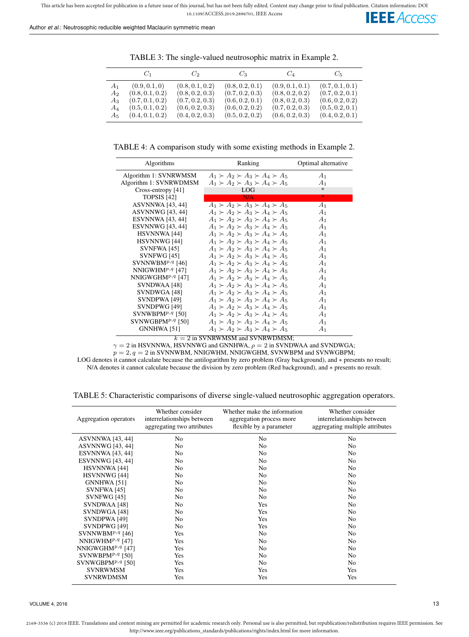



| TABLE 3: The single-valued neutrosophic matrix in Example 2. |  |  |
|--------------------------------------------------------------|--|--|
|                                                              |  |  |

|                | $C_1$           | $C_2$           | $C_3$           | $C_4$           | $C_{5}$         |
|----------------|-----------------|-----------------|-----------------|-----------------|-----------------|
| A <sub>1</sub> | (0.9, 0.1, 0)   | (0.8, 0.1, 0.2) | (0.8, 0.2, 0.1) | (0.9, 0.1, 0.1) | (0.7, 0.1, 0.1) |
| A <sub>2</sub> | (0.8, 0.1, 0.2) | (0.8, 0.2, 0.3) | (0.7, 0.2, 0.3) | (0.8, 0.2, 0.2) | (0.7, 0.2, 0.1) |
| $A_3$          | (0.7, 0.1, 0.2) | (0.7, 0.2, 0.3) | (0.6, 0.2, 0.1) | (0.8, 0.2, 0.3) | (0.6, 0.2, 0.2) |
| $A_4$          | (0.5, 0.1, 0.2) | (0.6, 0.2, 0.3) | (0.6, 0.2, 0.2) | (0.7, 0.2, 0.3) | (0.5, 0.2, 0.1) |
| $A_5$          | (0.4, 0.1, 0.2) | (0.4, 0.2, 0.3) | (0.5, 0.2, 0.2) | (0.6, 0.2, 0.3) | (0.4, 0.2, 0.1) |

TABLE 4: A comparison study with some existing methods in Example 2.

| Algorithms              | Ranking                                       | Optimal alternative |
|-------------------------|-----------------------------------------------|---------------------|
| Algorithm 1: SVNRWMSM   | $A_1 \succ A_2 \succ A_3 \succ A_4 \succ A_5$ | $A_1$               |
| Algorithm 1: SVNRWDMSM  | $A_1 \succ A_2 \succ A_3 \succ A_4 \succ A_5$ | A <sub>1</sub>      |
| Cross-entropy [41]      | <b>LOG</b>                                    | $\ast$              |
| TOPSIS [42]             | N/A                                           | 宋.                  |
| <b>ASVNNWA</b> [43, 44] | $A_1 \succ A_2 \succ A_3 \succ A_4 \succ A_5$ | $A_1$               |
| <b>ASVNNWG</b> [43, 44] | $A_1 \succ A_2 \succ A_3 \succ A_4 \succ A_5$ | A <sub>1</sub>      |
| <b>ESVNNWA</b> [43, 44] | $A_1 \succ A_2 \succ A_3 \succ A_4 \succ A_5$ | $A_1$               |
| <b>ESVNNWG</b> [43, 44] | $A_1 \succ A_2 \succ A_3 \succ A_4 \succ A_5$ | A <sub>1</sub>      |
| HSVNNWA [44]            | $A_1 \succ A_2 \succ A_3 \succ A_4 \succ A_5$ | $A_1$               |
| HSVNNWG [44]            | $A_1 \succ A_2 \succ A_3 \succ A_4 \succ A_5$ | A <sub>1</sub>      |
| SVNFWA [45]             | $A_1 \succ A_2 \succ A_3 \succ A_4 \succ A_5$ | $A_1$               |
| SVNFWG [45]             | $A_1 \succ A_2 \succ A_3 \succ A_4 \succ A_5$ | A <sub>1</sub>      |
| SVNNWBM $^{p,q}$ [46]   | $A_1 \succ A_2 \succ A_3 \succ A_4 \succ A_5$ | $A_1$               |
| NNIGWHM $^{p,q}$ [47]   | $A_1 \succ A_2 \succ A_3 \succ A_4 \succ A_5$ | $A_1$               |
| NNIGWGHM $^{p,q}$ [47]  | $A_1 \succ A_2 \succ A_3 \succ A_4 \succ A_5$ | $A_1$               |
| SVNDWAA [48]            | $A_1 \succ A_2 \succ A_3 \succ A_4 \succ A_5$ | $A_1$               |
| SVNDWGA [48]            | $A_1 \succ A_2 \succ A_3 \succ A_4 \succ A_5$ | $A_1$               |
| SVNDPWA [49]            | $A_1 \succ A_2 \succ A_3 \succ A_4 \succ A_5$ | $A_1$               |
| SVNDPWG [49]            | $A_1 \succ A_2 \succ A_3 \succ A_4 \succ A_5$ | A <sub>1</sub>      |
| SVNWBPM $^{p,q}$ [50]   | $A_1 \succ A_2 \succ A_3 \succ A_4 \succ A_5$ | $A_1$               |
| SVNWGBPM $^{p,q}$ [50]  | $A_1 \succ A_2 \succ A_3 \succ A_4 \succ A_5$ | A <sub>1</sub>      |
| GNNHWA [51]             | $A_1 \succ A_2 \succ A_3 \succ A_4 \succ A_5$ | $A_1$               |

 $k = 2$  in SVNRWMSM and SVNRWDMSM;

 $\gamma = 2$  in HSVNNWA, HSVNNWG and GNNHWA,  $\rho = 2$  in SVNDWAA and SVNDWGA;

 $p=2, q=2$  in SVNNWBM, NNIGWHM, NNIGWGHM, SVNWBPM and SVNWGBPM;

LOG denotes it cannot calculate because the antilogarithm by zero problem (Gray background), and ∗ presents no result; N/A denotes it cannot calculate because the division by zero problem (Red background), and ∗ presents no result.

TABLE 5: Characteristic comparisons of diverse single-valued neutrosophic aggregation operators.

| Aggregation operators   | Whether consider<br>interrelationships between<br>aggregating two attributes | Whether make the information<br>aggregation process more<br>flexible by a parameter | Whether consider<br>interrelationships between<br>aggregating multiple attributes |
|-------------------------|------------------------------------------------------------------------------|-------------------------------------------------------------------------------------|-----------------------------------------------------------------------------------|
| <b>ASVNNWA</b> [43, 44] | N <sub>0</sub>                                                               | No.                                                                                 | N <sub>0</sub>                                                                    |
| <b>ASVNNWG</b> [43, 44] | N <sub>0</sub>                                                               | N <sub>o</sub>                                                                      | N <sub>0</sub>                                                                    |
| <b>ESVNNWA</b> [43, 44] | N <sub>0</sub>                                                               | N <sub>o</sub>                                                                      | No.                                                                               |
| <b>ESVNNWG</b> [43, 44] | N <sub>0</sub>                                                               | N <sub>o</sub>                                                                      | No.                                                                               |
| HSVNNWA [44]            | N <sub>0</sub>                                                               | No                                                                                  | No.                                                                               |
| <b>HSVNNWG</b> [44]     | N <sub>0</sub>                                                               | N <sub>o</sub>                                                                      | N <sub>0</sub>                                                                    |
| GNNHWA [51]             | N <sub>0</sub>                                                               | N <sub>0</sub>                                                                      | No.                                                                               |
| SVNFWA [45]             | N <sub>0</sub>                                                               | N <sub>0</sub>                                                                      | N <sub>0</sub>                                                                    |
| SVNFWG [45]             | N <sub>0</sub>                                                               | N <sub>0</sub>                                                                      | No.                                                                               |
| SVNDWAA [48]            | N <sub>0</sub>                                                               | Yes                                                                                 | No.                                                                               |
| SVNDWGA [48]            | N <sub>0</sub>                                                               | Yes                                                                                 | No.                                                                               |
| SVNDPWA [49]            | N <sub>0</sub>                                                               | Yes                                                                                 | No.                                                                               |
| SVNDPWG [49]            | N <sub>0</sub>                                                               | Yes                                                                                 | N <sub>0</sub>                                                                    |
| SVNNWBM $^{p,q}$ [46]   | Yes                                                                          | N <sub>0</sub>                                                                      | No.                                                                               |
| NNIGWHM $^{p,q}$ [47]   | Yes                                                                          | N <sub>0</sub>                                                                      | N <sub>0</sub>                                                                    |
| NNIGWGHM $^{p,q}$ [47]  | Yes                                                                          | N <sub>0</sub>                                                                      | No.                                                                               |
| SVNWBPM $^{p,q}$ [50]   | Yes                                                                          | N <sub>0</sub>                                                                      | No.                                                                               |
| SVNWGBPM $^{p,q}$ [50]  | Yes                                                                          | No.                                                                                 | No.                                                                               |
| <b>SVNRWMSM</b>         | Yes                                                                          | Yes                                                                                 | Yes                                                                               |
| <b>SVNRWDMSM</b>        | Yes                                                                          | Yes                                                                                 | Yes                                                                               |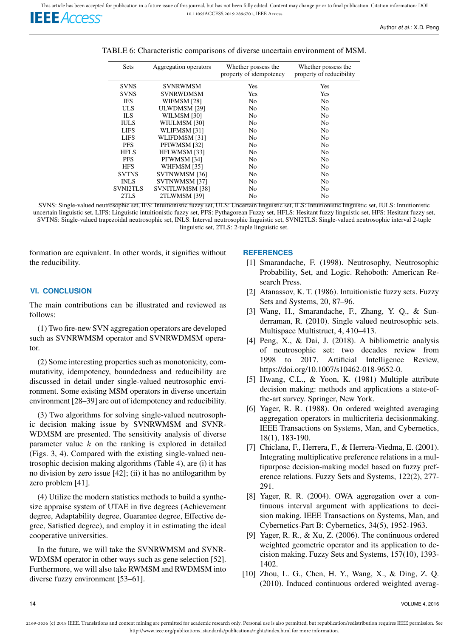| <b>Sets</b>      | Aggregation operators  | Whether possess the<br>property of idempotency | Whether possess the<br>property of reducibility |
|------------------|------------------------|------------------------------------------------|-------------------------------------------------|
| <b>SVNS</b>      | <b>SVNRWMSM</b>        | Yes                                            | Yes                                             |
| <b>SVNS</b>      | <b>SVNRWDMSM</b>       | Yes                                            | Yes                                             |
| <b>IFS</b>       | WIFMSM [28]            | No                                             | N <sub>0</sub>                                  |
| <b>ULS</b>       | ULWDMSM [29]           | No                                             | N <sub>0</sub>                                  |
| <b>ILS</b>       | WILMSM [30]            | N <sub>0</sub>                                 | N <sub>0</sub>                                  |
| <b>IULS</b>      | WIULMSM [30]           | N <sub>0</sub>                                 | N <sub>0</sub>                                  |
| <b>LIFS</b>      | WLIFMSM [31]           | N <sub>0</sub>                                 | N <sub>0</sub>                                  |
| <b>LIFS</b>      | WLIFDMSM [31]          | No                                             | N <sub>0</sub>                                  |
| <b>PFS</b>       | PFIWMSM [32]           | No                                             | N <sub>0</sub>                                  |
| HFL <sub>S</sub> | HFLWMSM [33]           | No                                             | N <sub>0</sub>                                  |
| <b>PFS</b>       | PFWMSM [34]            | N <sub>0</sub>                                 | N <sub>0</sub>                                  |
| <b>HFS</b>       | WHFMSM [35]            | No                                             | N <sub>0</sub>                                  |
| <b>SVTNS</b>     | SVTNWMSM [36]          | No                                             | N <sub>0</sub>                                  |
| <b>INLS</b>      | SVTNWMSM [37]          | No                                             | N <sub>0</sub>                                  |
| <b>SVNI2TLS</b>  | <b>SVNITLWMSM [38]</b> | No                                             | N <sub>0</sub>                                  |
| 2TLS             | 2TLWMSM [39]           | No                                             | N <sub>0</sub>                                  |

| TABLE 6: Characteristic comparisons of diverse uncertain environment of MSM. |  |  |  |
|------------------------------------------------------------------------------|--|--|--|
|------------------------------------------------------------------------------|--|--|--|

SVNS: Single-valued neutrosophic set, IFS: Intuitionistic fuzzy set, ULS: Uncertain linguistic set, ILS: Intuitionistic linguistic set, IULS: Intuitionistic uncertain linguistic set, LIFS: Linguistic intuitionistic fuzzy set, PFS: Pythagorean Fuzzy set, HFLS: Hesitant fuzzy linguistic set, HFS: Hesitant fuzzy set, SVTNS: Single-valued trapezoidal neutrosophic set, INLS: Interval neutrosophic linguistic set, SVNI2TLS: Single-valued neutrosophic interval 2-tuple linguistic set, 2TLS: 2-tuple linguistic set.

formation are equivalent. In other words, it signifies without the reducibility.

## **VI. CONCLUSION**

The main contributions can be illustrated and reviewed as follows:

(1) Two fire-new SVN aggregation operators are developed such as SVNRWMSM operator and SVNRWDMSM operator.

(2) Some interesting properties such as monotonicity, commutativity, idempotency, boundedness and reducibility are discussed in detail under single-valued neutrosophic environment. Some existing MSM operators in diverse uncertain environment [28–39] are out of idempotency and reducibility.

(3) Two algorithms for solving single-valued neutrosophic decision making issue by SVNRWMSM and SVNR-WDMSM are presented. The sensitivity analysis of diverse parameter value  $k$  on the ranking is explored in detailed (Figs. 3, 4). Compared with the existing single-valued neutrosophic decision making algorithms (Table 4), are (i) it has no division by zero issue [42]; (ii) it has no antilogarithm by zero problem [41].

(4) Utilize the modern statistics methods to build a synthesize appraise system of UTAE in five degrees (Achievement degree, Adaptability degree, Guarantee degree, Effective degree, Satisfied degree), and employ it in estimating the ideal cooperative universities.

In the future, we will take the SVNRWMSM and SVNR-WDMSM operator in other ways such as gene selection [52]. Furthermore, we will also take RWMSM and RWDMSM into diverse fuzzy environment [53–61].

#### **REFERENCES**

- [1] Smarandache, F. (1998). Neutrosophy, Neutrosophic Probability, Set, and Logic. Rehoboth: American Research Press.
- [2] Atanassov, K. T. (1986). Intuitionistic fuzzy sets. Fuzzy Sets and Systems, 20, 87–96.
- [3] Wang, H., Smarandache, F., Zhang, Y. Q., & Sunderraman, R. (2010). Single valued neutrosophic sets. Multispace Multistruct, 4, 410–413.
- [4] Peng, X., & Dai, J. (2018). A bibliometric analysis of neutrosophic set: two decades review from 1998 to 2017. Artificial Intelligence Review, https://doi.org/10.1007/s10462-018-9652-0.
- [5] Hwang, C.L., & Yoon, K. (1981) Multiple attribute decision making: methods and applications a state-ofthe-art survey. Springer, New York.
- [6] Yager, R. R. (1988). On ordered weighted averaging aggregation operators in multicriteria decisionmaking. IEEE Transactions on Systems, Man, and Cybernetics, 18(1), 183-190.
- [7] Chiclana, F., Herrera, F., & Herrera-Viedma, E. (2001). Integrating multiplicative preference relations in a multipurpose decision-making model based on fuzzy preference relations. Fuzzy Sets and Systems, 122(2), 277- 291.
- [8] Yager, R. R. (2004). OWA aggregation over a continuous interval argument with applications to decision making. IEEE Transactions on Systems, Man, and Cybernetics-Part B: Cybernetics, 34(5), 1952-1963.
- [9] Yager, R. R., & Xu, Z. (2006). The continuous ordered weighted geometric operator and its application to decision making. Fuzzy Sets and Systems, 157(10), 1393- 1402.
- [10] Zhou, L. G., Chen, H. Y., Wang, X., & Ding, Z. Q. (2010). Induced continuous ordered weighted averag-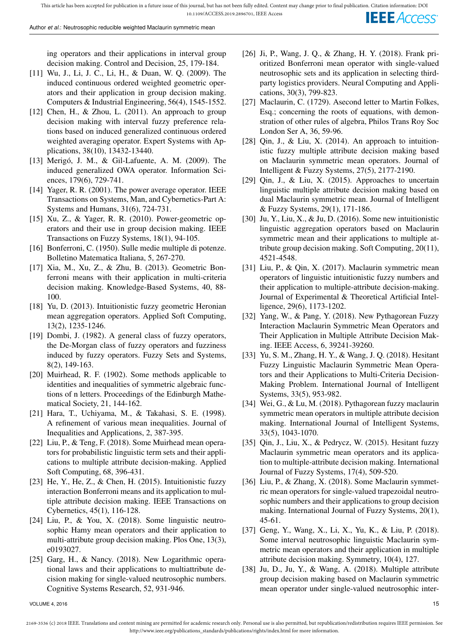ing operators and their applications in interval group decision making. Control and Decision, 25, 179-184.

- [11] Wu, J., Li, J. C., Li, H., & Duan, W. Q. (2009). The induced continuous ordered weighted geometric operators and their application in group decision making. Computers & Industrial Engineering, 56(4), 1545-1552.
- [12] Chen, H., & Zhou, L.  $(2011)$ . An approach to group decision making with interval fuzzy preference relations based on induced generalized continuous ordered weighted averaging operator. Expert Systems with Applications, 38(10), 13432-13440.
- [13] Merigó, J. M., & Gil-Lafuente, A. M. (2009). The induced generalized OWA operator. Information Sciences, 179(6), 729-741.
- [14] Yager, R. R. (2001). The power average operator. IEEE Transactions on Systems, Man, and Cybernetics-Part A: Systems and Humans, 31(6), 724-731.
- [15] Xu, Z., & Yager, R. R. (2010). Power-geometric operators and their use in group decision making. IEEE Transactions on Fuzzy Systems, 18(1), 94-105.
- [16] Bonferroni, C. (1950). Sulle medie multiple di potenze. Bolletino Matematica Italiana, 5, 267-270.
- [17] Xia, M., Xu, Z., & Zhu, B. (2013). Geometric Bonferroni means with their application in multi-criteria decision making. Knowledge-Based Systems, 40, 88- 100.
- [18] Yu, D. (2013). Intuitionistic fuzzy geometric Heronian mean aggregation operators. Applied Soft Computing, 13(2), 1235-1246.
- [19] Dombi, J. (1982). A general class of fuzzy operators, the De-Morgan class of fuzzy operators and fuzziness induced by fuzzy operators. Fuzzy Sets and Systems, 8(2), 149-163.
- [20] Muirhead, R. F. (1902). Some methods applicable to identities and inequalities of symmetric algebraic functions of n letters. Proceedings of the Edinburgh Mathematical Society, 21, 144-162.
- [21] Hara, T., Uchiyama, M., & Takahasi, S. E. (1998). A refinement of various mean inequalities. Journal of Inequalities and Applications, 2, 387-395.
- [22] Liu, P., & Teng, F. (2018). Some Muirhead mean operators for probabilistic linguistic term sets and their applications to multiple attribute decision-making. Applied Soft Computing, 68, 396-431.
- [23] He, Y., He, Z., & Chen, H. (2015). Intuitionistic fuzzy interaction Bonferroni means and its application to multiple attribute decision making. IEEE Transactions on Cybernetics, 45(1), 116-128.
- [24] Liu, P., & You, X. (2018). Some linguistic neutrosophic Hamy mean operators and their application to multi-attribute group decision making. Plos One, 13(3), e0193027.
- [25] Garg, H., & Nancy. (2018). New Logarithmic operational laws and their applications to multiattribute decision making for single-valued neutrosophic numbers. Cognitive Systems Research, 52, 931-946.
- [26] Ji, P., Wang, J. Q., & Zhang, H. Y. (2018). Frank prioritized Bonferroni mean operator with single-valued neutrosophic sets and its application in selecting thirdparty logistics providers. Neural Computing and Applications, 30(3), 799-823.
- [27] Maclaurin, C. (1729). Asecond letter to Martin Folkes, Esq.; concerning the roots of equations, with demonstration of other rules of algebra, Philos Trans Roy Soc London Ser A, 36, 59-96.
- [28] Qin, J., & Liu, X.  $(2014)$ . An approach to intuitionistic fuzzy multiple attribute decision making based on Maclaurin symmetric mean operators. Journal of Intelligent & Fuzzy Systems, 27(5), 2177-2190.
- [29] Qin, J., & Liu, X.  $(2015)$ . Approaches to uncertain linguistic multiple attribute decision making based on dual Maclaurin symmetric mean. Journal of Intelligent & Fuzzy Systems, 29(1), 171-186.
- [30] Ju, Y., Liu, X., & Ju, D. (2016). Some new intuitionistic linguistic aggregation operators based on Maclaurin symmetric mean and their applications to multiple attribute group decision making. Soft Computing, 20(11), 4521-4548.
- [31] Liu, P., & Qin, X. (2017). Maclaurin symmetric mean operators of linguistic intuitionistic fuzzy numbers and their application to multiple-attribute decision-making. Journal of Experimental & Theoretical Artificial Intelligence, 29(6), 1173-1202.
- [32] Yang, W., & Pang, Y. (2018). New Pythagorean Fuzzy Interaction Maclaurin Symmetric Mean Operators and Their Application in Multiple Attribute Decision Making. IEEE Access, 6, 39241-39260.
- [33] Yu, S. M., Zhang, H. Y., & Wang, J. Q. (2018). Hesitant Fuzzy Linguistic Maclaurin Symmetric Mean Operators and their Applications to Multi-Criteria Decision-Making Problem. International Journal of Intelligent Systems, 33(5), 953-982.
- [34] Wei, G., & Lu, M. (2018). Pythagorean fuzzy maclaurin symmetric mean operators in multiple attribute decision making. International Journal of Intelligent Systems, 33(5), 1043-1070.
- [35] Qin, J., Liu, X., & Pedrycz, W. (2015). Hesitant fuzzy Maclaurin symmetric mean operators and its application to multiple-attribute decision making. International Journal of Fuzzy Systems, 17(4), 509-520.
- [36] Liu, P., & Zhang, X. (2018). Some Maclaurin symmetric mean operators for single-valued trapezoidal neutrosophic numbers and their applications to group decision making. International Journal of Fuzzy Systems, 20(1), 45-61.
- [37] Geng, Y., Wang, X., Li, X., Yu, K., & Liu, P. (2018). Some interval neutrosophic linguistic Maclaurin symmetric mean operators and their application in multiple attribute decision making. Symmetry, 10(4), 127.
- [38] Ju, D., Ju, Y., & Wang, A. (2018). Multiple attribute group decision making based on Maclaurin symmetric mean operator under single-valued neutrosophic inter-

VOLUME 4, 2016  $\,$  15

<sup>2169-3536 (</sup>c) 2018 IEEE. Translations and content mining are permitted for academic research only. Personal use is also permitted, but republication/redistribution requires IEEE permission. See http://www.ieee.org/publications\_standards/publications/rights/index.html for more information.